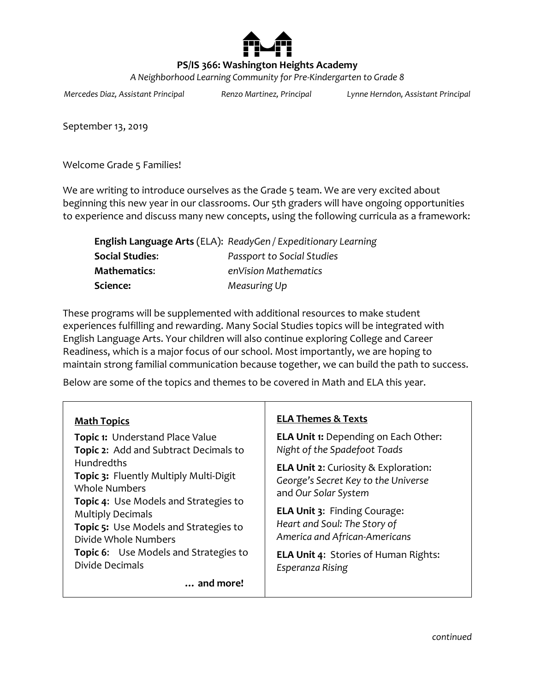

# **PS/IS 366: Washington Heights Academy**

*A Neighborhood Learning Community for Pre-Kindergarten to Grade 8*

*Mercedes Diaz, Assistant Principal Renzo Martinez, Principal Lynne Herndon, Assistant Principal*

September 13, 2019

Welcome Grade 5 Families!

We are writing to introduce ourselves as the Grade 5 team. We are very excited about beginning this new year in our classrooms. Our 5th graders will have ongoing opportunities to experience and discuss many new concepts, using the following curricula as a framework:

|                     | English Language Arts (ELA): ReadyGen / Expeditionary Learning |
|---------------------|----------------------------------------------------------------|
| Social Studies:     | <b>Passport to Social Studies</b>                              |
| <b>Mathematics:</b> | enVision Mathematics                                           |
| Science:            | Measuring Up                                                   |

These programs will be supplemented with additional resources to make student experiences fulfilling and rewarding. Many Social Studies topics will be integrated with English Language Arts. Your children will also continue exploring College and Career Readiness, which is a major focus of our school. Most importantly, we are hoping to maintain strong familial communication because together, we can build the path to success.

Below are some of the topics and themes to be covered in Math and ELA this year.

| <b>Math Topics</b>                                                                                                                                                                                                                                                                                                         | <b>ELA Themes &amp; Texts</b>                                                                                                                                                                                      |
|----------------------------------------------------------------------------------------------------------------------------------------------------------------------------------------------------------------------------------------------------------------------------------------------------------------------------|--------------------------------------------------------------------------------------------------------------------------------------------------------------------------------------------------------------------|
| <b>Topic 1: Understand Place Value</b><br>Topic 2: Add and Subtract Decimals to<br><b>Hundredths</b><br>Topic 3: Fluently Multiply Multi-Digit<br><b>Whole Numbers</b><br><b>Topic 4:</b> Use Models and Strategies to<br><b>Multiply Decimals</b><br><b>Topic 5:</b> Use Models and Strategies to<br>Divide Whole Numbers | <b>ELA Unit 1:</b> Depending on Each Other:<br>Night of the Spadefoot Toads                                                                                                                                        |
|                                                                                                                                                                                                                                                                                                                            | <b>ELA Unit 2:</b> Curiosity & Exploration:<br>George's Secret Key to the Universe<br>and Our Solar System<br><b>ELA Unit 3: Finding Courage:</b><br>Heart and Soul: The Story of<br>America and African-Americans |
| <b>Topic 6:</b> Use Models and Strategies to<br>Divide Decimals                                                                                                                                                                                                                                                            | ELA Unit 4: Stories of Human Rights:<br>Esperanza Rising                                                                                                                                                           |
| and more!                                                                                                                                                                                                                                                                                                                  |                                                                                                                                                                                                                    |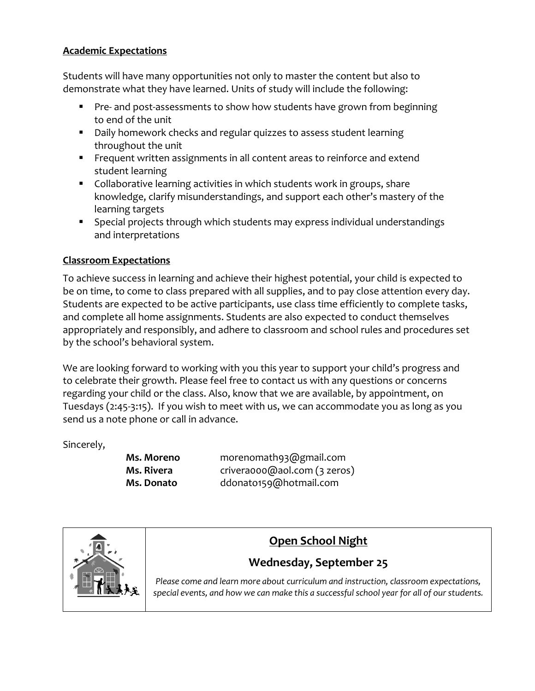### **Academic Expectations**

Students will have many opportunities not only to master the content but also to demonstrate what they have learned. Units of study will include the following:

- **Pre- and post-assessments to show how students have grown from beginning** to end of the unit
- Daily homework checks and regular quizzes to assess student learning throughout the unit
- **FIGUARE:** Frequent written assignments in all content areas to reinforce and extend student learning
- Collaborative learning activities in which students work in groups, share knowledge, clarify misunderstandings, and support each other's mastery of the learning targets
- Special projects through which students may express individual understandings and interpretations

# **Classroom Expectations**

To achieve success in learning and achieve their highest potential, your child is expected to be on time, to come to class prepared with all supplies, and to pay close attention every day. Students are expected to be active participants, use class time efficiently to complete tasks, and complete all home assignments. Students are also expected to conduct themselves appropriately and responsibly, and adhere to classroom and school rules and procedures set by the school's behavioral system.

We are looking forward to working with you this year to support your child's progress and to celebrate their growth. Please feel free to contact us with any questions or concerns regarding your child or the class. Also, know that we are available, by appointment, on Tuesdays (2:45-3:15). If you wish to meet with us, we can accommodate you as long as you send us a note phone or call in advance.

Sincerely,

**Ms. Moreno** morenomath93@gmail.com **Ms. Rivera** [crivera000@aol.com](mailto:crivera000@aol.com) (3 zeros) **Ms. Donato** [ddonato159@hotmail.com](mailto:ddonato159@hotmail.com)



# **Open School Night**

# **Wednesday, September 25**

*Please come and learn more about curriculum and instruction, classroom expectations, special events, and how we can make this a successful school year for all of our students.*